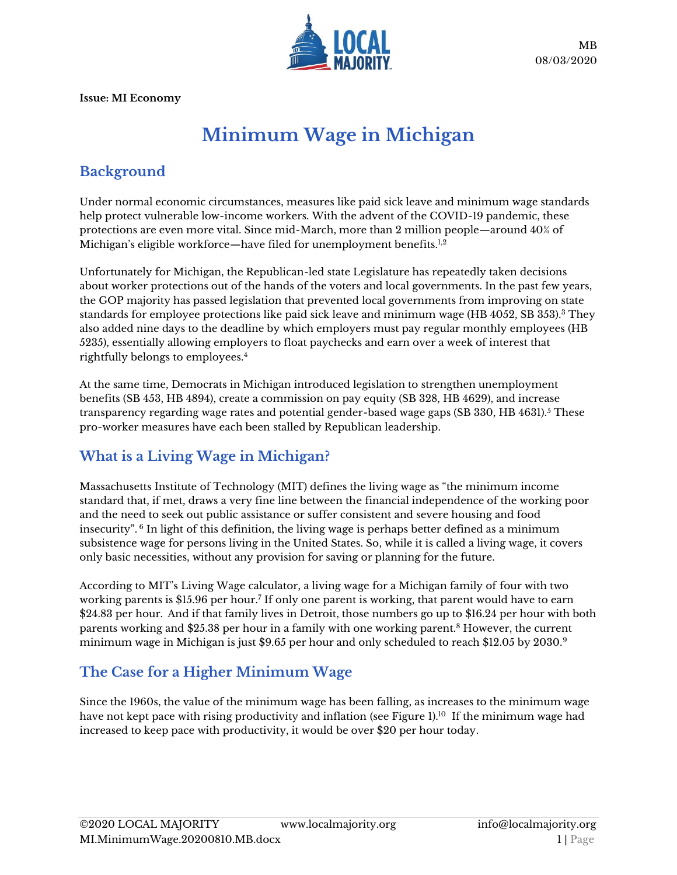

**Issue: MI Economy**

# **Minimum Wage in Michigan**

## **Background**

Under normal economic circumstances, measures like paid sick leave and minimum wage standards help protect vulnerable low-income workers. With the advent of the COVID-19 pandemic, these protections are even more vital. Since mid-March, more than 2 million people—around 40% of Michigan's eligible workforce—have filed for unemployment benefits.<sup>1,2</sup>

Unfortunately for Michigan, the Republican-led state Legislature has repeatedly taken decisions about worker protections out of the hands of the voters and local governments. In the past few years, the GOP majority has passed legislation that prevented local governments from improving on state standards for employee protections like paid sick leave and minimum wage (HB 4052, SB 353).<sup>3</sup> They also added nine days to the deadline by which employers must pay regular monthly employees (HB 5235), essentially allowing employers to float paychecks and earn over a week of interest that rightfully belongs to employees.<sup>4</sup>

At the same time, Democrats in Michigan introduced legislation to strengthen unemployment benefits (SB 453, HB 4894), create a commission on pay equity (SB 328, HB 4629), and increase transparency regarding wage rates and potential gender-based wage gaps (SB 330, HB 4631).<sup>5</sup> These pro-worker measures have each been stalled by Republican leadership.

## **What is a Living Wage in Michigan?**

Massachusetts Institute of Technology (MIT) defines the living wage as "the minimum income standard that, if met, draws a very fine line between the financial independence of the working poor and the need to seek out public assistance or suffer consistent and severe housing and food insecurity". <sup>6</sup> In light of this definition, the living wage is perhaps better defined as a minimum subsistence wage for persons living in the United States. So, while it is called a living wage, it covers only basic necessities, without any provision for saving or planning for the future.

According to MIT's Living Wage calculator, a living wage for a Michigan family of four with two working parents is \$15.96 per hour.<sup>7</sup> If only one parent is working, that parent would have to earn \$24.83 per hour. And if that family lives in Detroit, those numbers go up to \$16.24 per hour with both parents working and \$25.38 per hour in a family with one working parent.<sup>8</sup> However, the current minimum wage in Michigan is just \$9.65 per hour and only scheduled to reach \$12.05 by 2030.<sup>9</sup>

## **The Case for a Higher Minimum Wage**

Since the 1960s, the value of the minimum wage has been falling, as increases to the minimum wage have not kept pace with rising productivity and inflation (see Figure 1).<sup>10</sup> If the minimum wage had increased to keep pace with productivity, it would be over \$20 per hour today.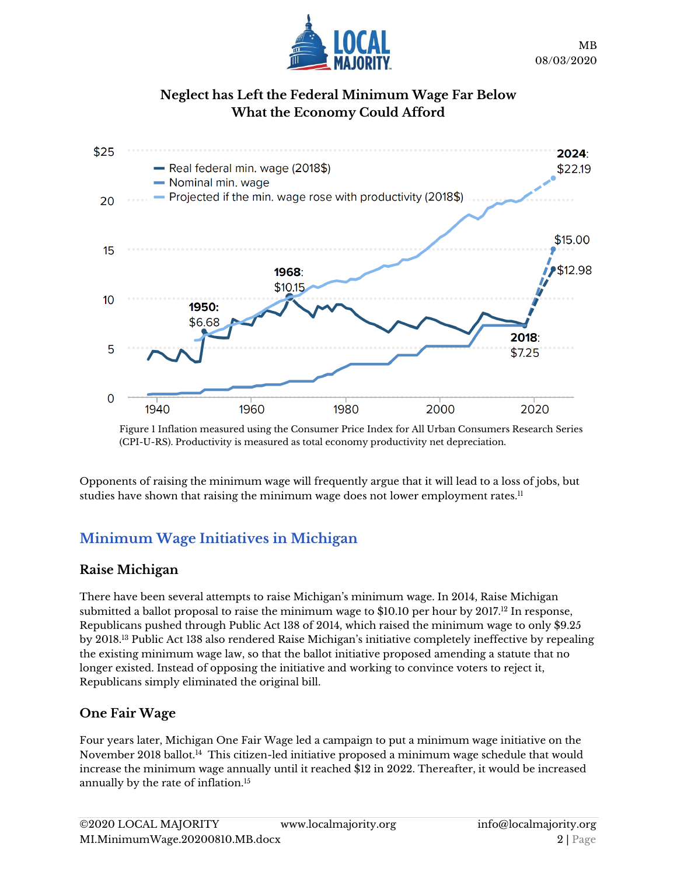

#### **Neglect has Left the Federal Minimum Wage Far Below What the Economy Could Afford**



Figure 1 Inflation measured using the Consumer Price Index for All Urban Consumers Research Series (CPI-U-RS). Productivity is measured as total economy productivity net depreciation.

Opponents of raising the minimum wage will frequently argue that it will lead to a loss of jobs, but studies have shown that raising the minimum wage does not lower employment rates. $11$ 

# **Minimum Wage Initiatives in Michigan**

#### **Raise Michigan**

There have been several attempts to raise Michigan's minimum wage. In 2014, Raise Michigan submitted a ballot proposal to raise the minimum wage to \$10.10 per hour by 2017. <sup>12</sup> In response, Republicans pushed through Public Act 138 of 2014, which raised the minimum wage to only \$9.25 by 2018.<sup>13</sup> Public Act 138 also rendered Raise Michigan's initiative completely ineffective by repealing the existing minimum wage law, so that the ballot initiative proposed amending a statute that no longer existed. Instead of opposing the initiative and working to convince voters to reject it, Republicans simply eliminated the original bill.

#### **One Fair Wage**

Four years later, Michigan One Fair Wage led a campaign to put a minimum wage initiative on the November 2018 ballot.<sup>14</sup> This citizen-led initiative proposed a minimum wage schedule that would increase the minimum wage annually until it reached \$12 in 2022. Thereafter, it would be increased annually by the rate of inflation.15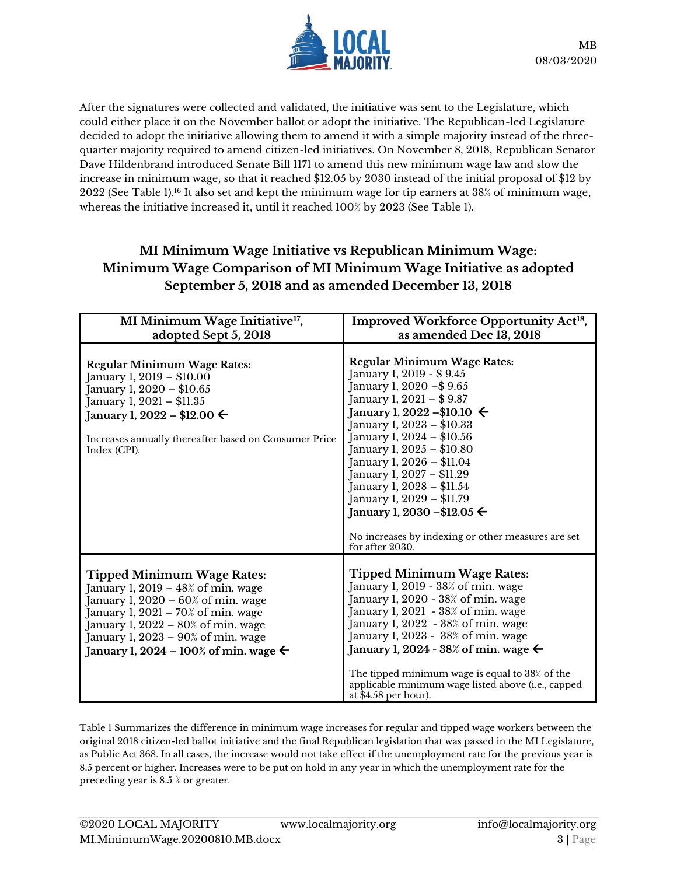

After the signatures were collected and validated, the initiative was sent to the Legislature, which could either place it on the November ballot or adopt the initiative. The Republican-led Legislature decided to adopt the initiative allowing them to amend it with a simple majority instead of the threequarter majority required to amend citizen-led initiatives. On November 8, 2018, Republican Senato[r](https://ballotpedia.org/Dave_Hildenbrand) [Dave Hildenbrand](https://ballotpedia.org/Dave_Hildenbrand) introduced Senate Bill 1171 to amend this new minimum wage law and slow the increase in minimum wage, so that it reached \$12.05 by 2030 instead of the initial proposal of \$12 by 2022 (See Table 1).<sup>16</sup> It also set and kept the minimum wage for tip earners at 38% of minimum wage, whereas the initiative increased it, until it reached 100% by 2023 (See Table 1).

#### **MI Minimum Wage Initiative vs Republican Minimum Wage: Minimum Wage Comparison of MI Minimum Wage Initiative as adopted September 5, 2018 and as amended December 13, 2018**

| MI Minimum Wage Initiative <sup>17</sup> ,                                                                                                                                                                                                                                                   | Improved Workforce Opportunity Act <sup>18</sup> ,                                                                                                                                                                                                                                                                                                                                                                                                                                             |
|----------------------------------------------------------------------------------------------------------------------------------------------------------------------------------------------------------------------------------------------------------------------------------------------|------------------------------------------------------------------------------------------------------------------------------------------------------------------------------------------------------------------------------------------------------------------------------------------------------------------------------------------------------------------------------------------------------------------------------------------------------------------------------------------------|
| adopted Sept 5, 2018                                                                                                                                                                                                                                                                         | as amended Dec 13, 2018                                                                                                                                                                                                                                                                                                                                                                                                                                                                        |
| <b>Regular Minimum Wage Rates:</b><br>January 1, 2019 – \$10.00<br>January 1, 2020 - \$10.65<br>January 1, 2021 – \$11.35<br>January 1, 2022 – \$12.00 $\leftarrow$<br>Increases annually thereafter based on Consumer Price<br>Index (CPI).                                                 | <b>Regular Minimum Wage Rates:</b><br>January 1, 2019 - \$9.45<br>January 1, 2020 - \$9.65<br>January 1, 2021 - \$9.87<br>January 1, 2022 – \$10.10 $\leftarrow$<br>January 1, 2023 - \$10.33<br>January 1, 2024 – \$10.56<br>January 1, 2025 - \$10.80<br>January 1, 2026 - \$11.04<br>January 1, 2027 – \$11.29<br>January 1, 2028 - \$11.54<br>January 1, 2029 - \$11.79<br>January 1, 2030 – \$12.05 $\leftarrow$<br>No increases by indexing or other measures are set<br>for after 2030. |
| <b>Tipped Minimum Wage Rates:</b><br>January 1, 2019 – 48% of min. wage<br>January 1, $2020 - 60\%$ of min. wage<br>January 1, $2021 - 70\%$ of min. wage<br>January 1, $2022 - 80\%$ of min. wage<br>January 1, 2023 - 90% of min. wage<br>January 1, 2024 – 100% of min. wage $\leftarrow$ | <b>Tipped Minimum Wage Rates:</b><br>January 1, 2019 - 38% of min. wage<br>January 1, 2020 - 38% of min. wage<br>January 1, 2021 - 38% of min. wage<br>January 1, 2022 - 38% of min. wage<br>January 1, 2023 - 38% of min. wage<br>January 1, 2024 - 38% of min. wage $\leftarrow$<br>The tipped minimum wage is equal to 38% of the<br>applicable minimum wage listed above (i.e., capped<br>at \$4.58 per hour).                                                                             |

Table 1 Summarizes the difference in minimum wage increases for regular and tipped wage workers between the original 2018 citizen-led ballot initiative and the final Republican legislation that was passed in the MI Legislature, as Public Act 368. In all cases, the increase would not take effect if the unemployment rate for the previous year is 8.5 percent or higher. Increases were to be put on hold in any year in which the unemployment rate for the preceding year is 8.5 % or greater.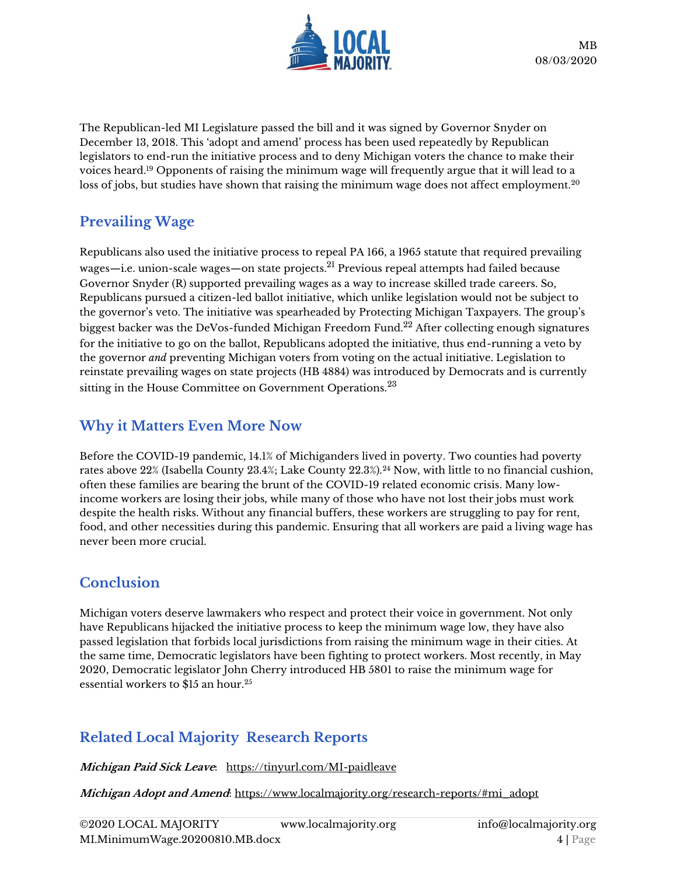

The Republican-led MI Legislature passed the bill and it was signed by Governor Snyder on December 13, 2018. This 'adopt and amend' process has been used repeatedly by Republican legislators to end-run the initiative process and to deny Michigan voters the chance to make their voices heard.<sup>19</sup> Opponents of raising the minimum wage will frequently argue that it will lead to a loss of jobs, but studies have shown that raising the minimum wage does not affect employment.<sup>20</sup>

## **Prevailing Wage**

Republicans also used the initiative process to repeal PA 166, a 1965 statute that required prevailing wages—i.e. union-scale wages—on state projects.<sup>21</sup> Previous repeal attempts had failed because Governor Snyder (R) supported prevailing wages as a way to increase skilled trade careers. So, Republicans pursued a citizen-led ballot initiative, which unlike legislation would not be subject to the governor's veto. The initiative was spearheaded by Protecting Michigan Taxpayers. The group's biggest backer was the DeVos-funded Michigan Freedom Fund.<sup>22</sup> After collecting enough signatures for the initiative to go on the ballot, Republicans adopted the initiative, thus end-running a veto by the governor *and* preventing Michigan voters from voting on the actual initiative. Legislation to reinstate prevailing wages on state projects (HB 4884) was introduced by Democrats and is currently sitting in the House Committee on Government Operations.<sup>23</sup>

## **Why it Matters Even More Now**

Before the COVID-19 pandemic, 14.1% of Michiganders lived in poverty. Two counties had poverty rates above 22% (Isabella County 23.4%; Lake County 22.3%).<sup>24</sup> Now, with little to no financial cushion, often these families are bearing the brunt of the COVID-19 related economic crisis. Many lowincome workers are losing their jobs, while many of those who have not lost their jobs must work despite the health risks. Without any financial buffers, these workers are struggling to pay for rent, food, and other necessities during this pandemic. Ensuring that all workers are paid a living wage has never been more crucial.

## **Conclusion**

Michigan voters deserve lawmakers who respect and protect their voice in government. Not only have Republicans hijacked the initiative process to keep the minimum wage low, they have also passed legislation that forbids local jurisdictions from raising the minimum wage in their cities. At the same time, Democratic legislators have been fighting to protect workers. Most recently, in May 2020, Democratic legislator John Cherry introduced HB 5801 to raise the minimum wage for essential workers to \$15 an hour.<sup>25</sup>

# **Related Local Majority Research Reports**

**Michigan Paid Sick Leave**: <https://tinyurl.com/MI-paidleave>

**Michigan Adopt and Amend**: [https://www.localmajority.org/research-reports/#mi\\_adopt](https://www.localmajority.org/research-reports/#mi_adopt)